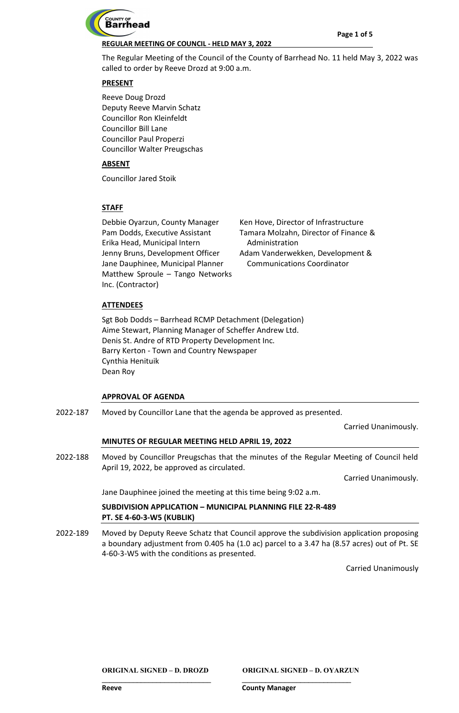

The Regular Meeting of the Council of the County of Barrhead No. 11 held May 3, 2022 was called to order by Reeve Drozd at 9:00 a.m.

## **PRESENT**

Reeve Doug Drozd Deputy Reeve Marvin Schatz Councillor Ron Kleinfeldt Councillor Bill Lane Councillor Paul Properzi Councillor Walter Preugschas

## **ABSENT**

Councillor Jared Stoik

# **STAFF**

Debbie Oyarzun, County Manager Pam Dodds, Executive Assistant Erika Head, Municipal Intern Jenny Bruns, Development Officer Jane Dauphinee, Municipal Planner Matthew Sproule – Tango Networks Inc. (Contractor)

Ken Hove, Director of Infrastructure Tamara Molzahn, Director of Finance & Administration Adam Vanderwekken, Development & Communications Coordinator

# **ATTENDEES**

Sgt Bob Dodds – Barrhead RCMP Detachment (Delegation) Aime Stewart, Planning Manager of Scheffer Andrew Ltd. Denis St. Andre of RTD Property Development Inc. Barry Kerton - Town and Country Newspaper Cynthia Henituik Dean Roy

## **APPROVAL OF AGENDA**

Moved by Councillor Lane that the agenda be approved as presented. 2022-187

Carried Unanimously.

## **MINUTES OF REGULAR MEETING HELD APRIL 19, 2022**

Moved by Councillor Preugschas that the minutes of the Regular Meeting of Council held April 19, 2022, be approved as circulated. 2022-188

Carried Unanimously.

Jane Dauphinee joined the meeting at this time being 9:02 a.m.

# **SUBDIVISION APPLICATION – MUNICIPAL PLANNING FILE 22-R-489 PT. SE 4-60-3-W5 (KUBLIK)**

Moved by Deputy Reeve Schatz that Council approve the subdivision application proposing a boundary adjustment from 0.405 ha (1.0 ac) parcel to a 3.47 ha (8.57 acres) out of Pt. SE 4-60-3-W5 with the conditions as presented. 2022-189

Carried Unanimously

**ORIGINAL SIGNED – D. DROZD ORIGINAL SIGNED – D. OYARZUN**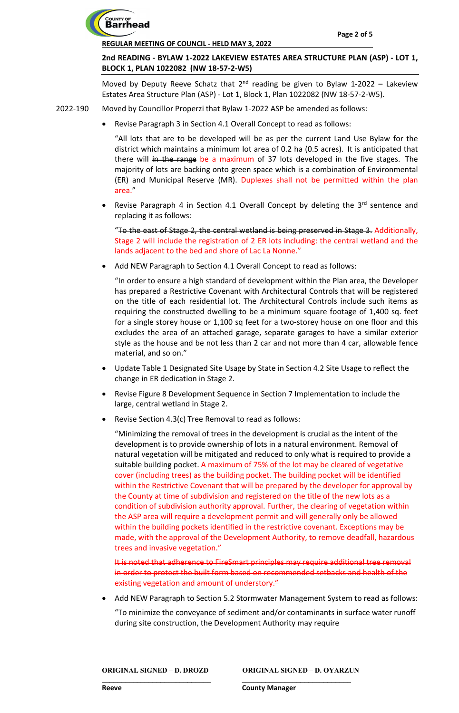

# **2nd READING - BYLAW 1-2022 LAKEVIEW ESTATES AREA STRUCTURE PLAN (ASP) - LOT 1, BLOCK 1, PLAN 1022082 (NW 18-57-2-W5)**

Moved by Deputy Reeve Schatz that  $2^{nd}$  reading be given to Bylaw 1-2022 – Lakeview Estates Area Structure Plan (ASP) - Lot 1, Block 1, Plan 1022082 (NW 18-57-2-W5).

Moved by Councillor Properzi that Bylaw 1-2022 ASP be amended as follows: 2022-190

• Revise Paragraph 3 in Section 4.1 Overall Concept to read as follows:

"All lots that are to be developed will be as per the current Land Use Bylaw for the district which maintains a minimum lot area of 0.2 ha (0.5 acres). It is anticipated that there will in the range be a maximum of 37 lots developed in the five stages. The majority of lots are backing onto green space which is a combination of Environmental (ER) and Municipal Reserve (MR). Duplexes shall not be permitted within the plan area."

Revise Paragraph 4 in Section 4.1 Overall Concept by deleting the 3rd sentence and replacing it as follows:

"To the east of Stage 2, the central wetland is being preserved in Stage 3. Additionally, Stage 2 will include the registration of 2 ER lots including: the central wetland and the lands adjacent to the bed and shore of Lac La Nonne."

Add NEW Paragraph to Section 4.1 Overall Concept to read as follows:

"In order to ensure a high standard of development within the Plan area, the Developer has prepared a Restrictive Covenant with Architectural Controls that will be registered on the title of each residential lot. The Architectural Controls include such items as requiring the constructed dwelling to be a minimum square footage of 1,400 sq. feet for a single storey house or 1,100 sq feet for a two-storey house on one floor and this excludes the area of an attached garage, separate garages to have a similar exterior style as the house and be not less than 2 car and not more than 4 car, allowable fence material, and so on."

- Update Table 1 Designated Site Usage by State in Section 4.2 Site Usage to reflect the change in ER dedication in Stage 2.
- Revise Figure 8 Development Sequence in Section 7 Implementation to include the large, central wetland in Stage 2.
- Revise Section 4.3(c) Tree Removal to read as follows:

"Minimizing the removal of trees in the development is crucial as the intent of the development is to provide ownership of lots in a natural environment. Removal of natural vegetation will be mitigated and reduced to only what is required to provide a suitable building pocket. A maximum of 75% of the lot may be cleared of vegetative cover (including trees) as the building pocket. The building pocket will be identified within the Restrictive Covenant that will be prepared by the developer for approval by the County at time of subdivision and registered on the title of the new lots as a condition of subdivision authority approval. Further, the clearing of vegetation within the ASP area will require a development permit and will generally only be allowed within the building pockets identified in the restrictive covenant. Exceptions may be made, with the approval of the Development Authority, to remove deadfall, hazardous trees and invasive vegetation."

It is noted that adherence to FireSmart principles may require additional tree in order to protect the built form based on recommended setbacks and health of the existing vegetation and amount of understory."

• Add NEW Paragraph to Section 5.2 Stormwater Management System to read as follows:

"To minimize the conveyance of sediment and/or contaminants in surface water runoff during site construction, the Development Authority may require

**ORIGINAL SIGNED – D. DROZD ORIGINAL SIGNED – D. OYARZUN**

**\_\_\_\_\_\_\_\_\_\_\_\_\_\_\_\_\_\_\_\_\_\_\_\_\_\_\_\_ \_\_\_\_\_\_\_\_\_\_\_\_\_\_\_\_\_\_\_\_\_\_\_\_\_\_\_\_**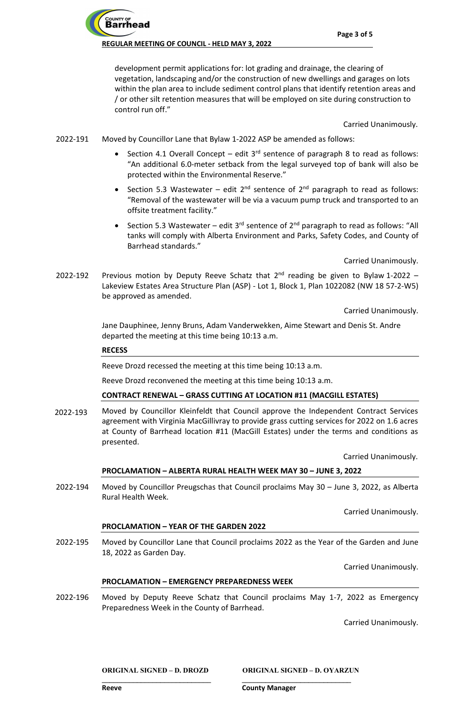**Barrhead** 

development permit applications for: lot grading and drainage, the clearing of vegetation, landscaping and/or the construction of new dwellings and garages on lots within the plan area to include sediment control plans that identify retention areas and / or other silt retention measures that will be employed on site during construction to control run off."

Carried Unanimously.

- Moved by Councillor Lane that Bylaw 1-2022 ASP be amended as follows: 2022-191
	- Section 4.1 Overall Concept edit  $3<sup>rd</sup>$  sentence of paragraph 8 to read as follows: "An additional 6.0-meter setback from the legal surveyed top of bank will also be protected within the Environmental Reserve."
	- Section 5.3 Wastewater edit  $2^{nd}$  sentence of  $2^{nd}$  paragraph to read as follows: "Removal of the wastewater will be via a vacuum pump truck and transported to an offsite treatment facility."
	- Section 5.3 Wastewater edit  $3^{rd}$  sentence of  $2^{nd}$  paragraph to read as follows: "All tanks will comply with Alberta Environment and Parks, Safety Codes, and County of Barrhead standards."

Carried Unanimously.

Previous motion by Deputy Reeve Schatz that  $2^{nd}$  reading be given to Bylaw 1-2022 – Lakeview Estates Area Structure Plan (ASP) - Lot 1, Block 1, Plan 1022082 (NW 18 57-2-W5) be approved as amended. 2022-192

Carried Unanimously.

Jane Dauphinee, Jenny Bruns, Adam Vanderwekken, Aime Stewart and Denis St. Andre departed the meeting at this time being 10:13 a.m.

#### **RECESS**

Reeve Drozd recessed the meeting at this time being 10:13 a.m.

Reeve Drozd reconvened the meeting at this time being 10:13 a.m.

#### **CONTRACT RENEWAL – GRASS CUTTING AT LOCATION #11 (MACGILL ESTATES)**

Moved by Councillor Kleinfeldt that Council approve the Independent Contract Services agreement with Virginia MacGillivray to provide grass cutting services for 2022 on 1.6 acres at County of Barrhead location #11 (MacGill Estates) under the terms and conditions as presented. 2022-193

Carried Unanimously.

#### **PROCLAMATION – ALBERTA RURAL HEALTH WEEK MAY 30 – JUNE 3, 2022**

Moved by Councillor Preugschas that Council proclaims May 30 – June 3, 2022, as Alberta Rural Health Week. 2022-194

Carried Unanimously.

#### **PROCLAMATION – YEAR OF THE GARDEN 2022**

Moved by Councillor Lane that Council proclaims 2022 as the Year of the Garden and June 18, 2022 as Garden Day. 2022-195

Carried Unanimously.

#### **PROCLAMATION – EMERGENCY PREPAREDNESS WEEK**

Moved by Deputy Reeve Schatz that Council proclaims May 1-7, 2022 as Emergency Preparedness Week in the County of Barrhead. 2022-196

**\_\_\_\_\_\_\_\_\_\_\_\_\_\_\_\_\_\_\_\_\_\_\_\_\_\_\_\_ \_\_\_\_\_\_\_\_\_\_\_\_\_\_\_\_\_\_\_\_\_\_\_\_\_\_\_\_** 

Carried Unanimously.

**ORIGINAL SIGNED – D. DROZD ORIGINAL SIGNED – D. OYARZUN**

**Reeve County Manager**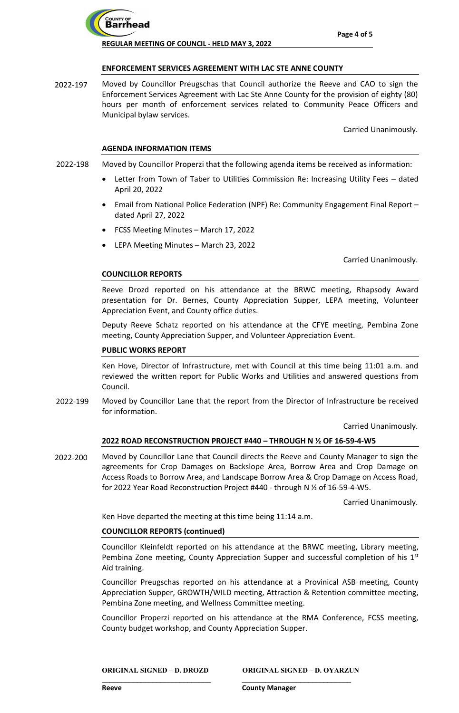

### **ENFORCEMENT SERVICES AGREEMENT WITH LAC STE ANNE COUNTY**

Moved by Councillor Preugschas that Council authorize the Reeve and CAO to sign the Enforcement Services Agreement with Lac Ste Anne County for the provision of eighty (80) hours per month of enforcement services related to Community Peace Officers and Municipal bylaw services. 2022-197

Carried Unanimously.

#### **AGENDA INFORMATION ITEMS**

- Moved by Councillor Properzi that the following agenda items be received as information: 2022-198
	- Letter from Town of Taber to Utilities Commission Re: Increasing Utility Fees dated April 20, 2022
	- Email from National Police Federation (NPF) Re: Community Engagement Final Report dated April 27, 2022
	- FCSS Meeting Minutes March 17, 2022
	- LEPA Meeting Minutes March 23, 2022

Carried Unanimously.

#### **COUNCILLOR REPORTS**

Reeve Drozd reported on his attendance at the BRWC meeting, Rhapsody Award presentation for Dr. Bernes, County Appreciation Supper, LEPA meeting, Volunteer Appreciation Event, and County office duties.

Deputy Reeve Schatz reported on his attendance at the CFYE meeting, Pembina Zone meeting, County Appreciation Supper, and Volunteer Appreciation Event.

#### **PUBLIC WORKS REPORT**

Ken Hove, Director of Infrastructure, met with Council at this time being 11:01 a.m. and reviewed the written report for Public Works and Utilities and answered questions from Council.

Moved by Councillor Lane that the report from the Director of Infrastructure be received for information. 2022-199

Carried Unanimously.

## **2022 ROAD RECONSTRUCTION PROJECT #440 – THROUGH N ½ OF 16-59-4-W5**

Moved by Councillor Lane that Council directs the Reeve and County Manager to sign the agreements for Crop Damages on Backslope Area, Borrow Area and Crop Damage on Access Roads to Borrow Area, and Landscape Borrow Area & Crop Damage on Access Road, for 2022 Year Road Reconstruction Project #440 - through N ½ of 16-59-4-W5. 2022-200

Carried Unanimously.

Ken Hove departed the meeting at this time being 11:14 a.m.

## **COUNCILLOR REPORTS (continued)**

Councillor Kleinfeldt reported on his attendance at the BRWC meeting, Library meeting, Pembina Zone meeting, County Appreciation Supper and successful completion of his  $1<sup>st</sup>$ Aid training.

Councillor Preugschas reported on his attendance at a Provinical ASB meeting, County Appreciation Supper, GROWTH/WILD meeting, Attraction & Retention committee meeting, Pembina Zone meeting, and Wellness Committee meeting.

Councillor Properzi reported on his attendance at the RMA Conference, FCSS meeting, County budget workshop, and County Appreciation Supper.

**ORIGINAL SIGNED – D. DROZD ORIGINAL SIGNED – D. OYARZUN**

**Reeve County Manager**

**\_\_\_\_\_\_\_\_\_\_\_\_\_\_\_\_\_\_\_\_\_\_\_\_\_\_\_\_ \_\_\_\_\_\_\_\_\_\_\_\_\_\_\_\_\_\_\_\_\_\_\_\_\_\_\_\_**